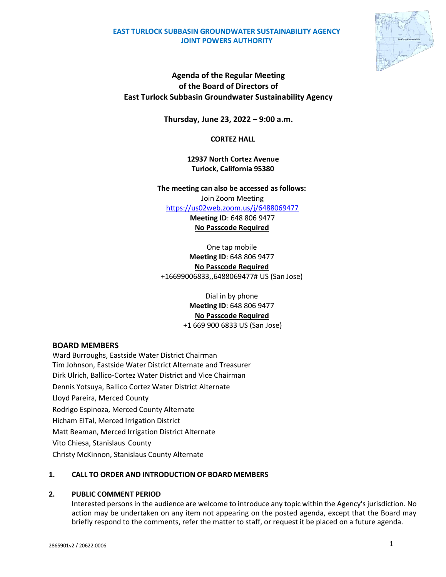### **EAST TURLOCK SUBBASIN GROUNDWATER SUSTAINABILITY AGENCY JOINT POWERS AUTHORITY**



# **Agenda of the Regular Meeting of the Board of Directors of East Turlock Subbasin Groundwater Sustainability Agency**

**Thursday, June 23, 2022 – 9:00 a.m.**

**CORTEZ HALL**

**12937 North Cortez Avenue Turlock, California 95380**

**The meeting can also be accessed as follows:** Join Zoom Meeting

<https://us02web.zoom.us/j/6488069477>

**Meeting ID**: 648 806 9477 **No Passcode Required**

One tap mobile **Meeting ID**: 648 806 9477 **No Passcode Required** +16699006833,,6488069477# US (San Jose)

> Dial in by phone **Meeting ID**: 648 806 9477 **No Passcode Required** +1 669 900 6833 US (San Jose)

## **BOARD MEMBERS**

Ward Burroughs, Eastside Water District Chairman Tim Johnson, Eastside Water District Alternate and Treasurer Dirk Ulrich, Ballico-Cortez Water District and Vice Chairman Dennis Yotsuya, Ballico Cortez Water District Alternate Lloyd Pareira, Merced County Rodrigo Espinoza, Merced County Alternate Hicham ElTal, Merced Irrigation District Matt Beaman, Merced Irrigation District Alternate Vito Chiesa, Stanislaus County Christy McKinnon, Stanislaus County Alternate

## **1. CALL TO ORDER AND INTRODUCTION OF BOARD MEMBERS**

## **2. PUBLIC COMMENT PERIOD**

Interested persons in the audience are welcome to introduce any topic within the Agency's jurisdiction. No action may be undertaken on any item not appearing on the posted agenda, except that the Board may briefly respond to the comments, refer the matter to staff, or request it be placed on a future agenda.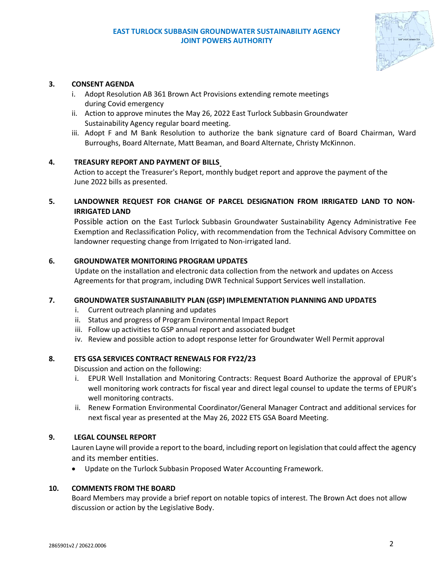### **EAST TURLOCK SUBBASIN GROUNDWATER SUSTAINABILITY AGENCY JOINT POWERS AUTHORITY**



### **3. CONSENT AGENDA**

- i. Adopt Resolution AB 361 Brown Act Provisions extending remote meetings during Covid emergency
- ii. Action to approve minutes the May 26, 2022 East Turlock Subbasin Groundwater Sustainability Agency regular board meeting.
- iii. Adopt F and M Bank Resolution to authorize the bank signature card of Board Chairman, Ward Burroughs, Board Alternate, Matt Beaman, and Board Alternate, Christy McKinnon.

### **4. TREASURY REPORT AND PAYMENT OF BILLS**

Action to accept the Treasurer's Report, monthly budget report and approve the payment of the June 2022 bills as presented.

## **5. LANDOWNER REQUEST FOR CHANGE OF PARCEL DESIGNATION FROM IRRIGATED LAND TO NON-IRRIGATED LAND**

Possible action on the East Turlock Subbasin Groundwater Sustainability Agency Administrative Fee Exemption and Reclassification Policy, with recommendation from the Technical Advisory Committee on landowner requesting change from Irrigated to Non-irrigated land.

### **6. GROUNDWATER MONITORING PROGRAM UPDATES**

Update on the installation and electronic data collection from the network and updates on Access Agreements for that program, including DWR Technical Support Services well installation.

### **7. GROUNDWATER SUSTAINABILITY PLAN (GSP) IMPLEMENTATION PLANNING AND UPDATES**

- i. Current outreach planning and updates
- ii. Status and progress of Program Environmental Impact Report
- iii. Follow up activities to GSP annual report and associated budget
- iv. Review and possible action to adopt response letter for Groundwater Well Permit approval

### **8. ETS GSA SERVICES CONTRACT RENEWALS FOR FY22/23**

Discussion and action on the following:

- i. EPUR Well Installation and Monitoring Contracts: Request Board Authorize the approval of EPUR's well monitoring work contracts for fiscal year and direct legal counsel to update the terms of EPUR's well monitoring contracts.
- ii. Renew Formation Environmental Coordinator/General Manager Contract and additional services for next fiscal year as presented at the May 26, 2022 ETS GSA Board Meeting.

### **9. LEGAL COUNSEL REPORT**

Lauren Layne will provide a report to the board, including report on legislation that could affect the agency and its member entities.

• Update on the Turlock Subbasin Proposed Water Accounting Framework.

### **10. COMMENTS FROM THE BOARD**

Board Members may provide a brief report on notable topics of interest. The Brown Act does not allow discussion or action by the Legislative Body.